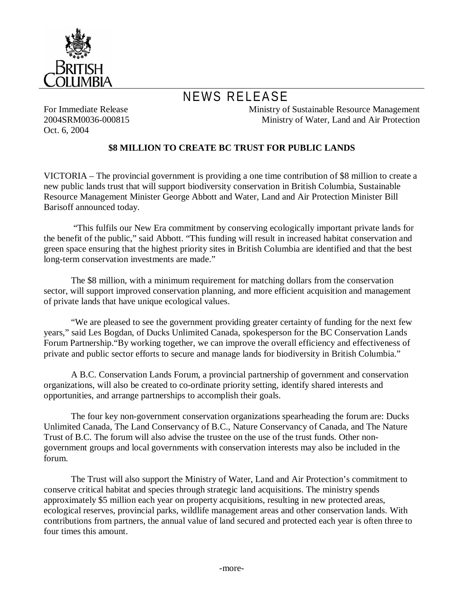

## NEWS RELEASE

For Immediate Release 2004SRM0036-000815 Oct. 6, 2004

Ministry of Sustainable Resource Management Ministry of Water, Land and Air Protection

## **\$8 MILLION TO CREATE BC TRUST FOR PUBLIC LANDS**

VICTORIA – The provincial government is providing a one time contribution of \$8 million to create a new public lands trust that will support biodiversity conservation in British Columbia, Sustainable Resource Management Minister George Abbott and Water, Land and Air Protection Minister Bill Barisoff announced today.

 "This fulfils our New Era commitment by conserving ecologically important private lands for the benefit of the public," said Abbott. "This funding will result in increased habitat conservation and green space ensuring that the highest priority sites in British Columbia are identified and that the best long-term conservation investments are made."

The \$8 million, with a minimum requirement for matching dollars from the conservation sector, will support improved conservation planning, and more efficient acquisition and management of private lands that have unique ecological values.

"We are pleased to see the government providing greater certainty of funding for the next few years," said Les Bogdan, of Ducks Unlimited Canada, spokesperson for the BC Conservation Lands Forum Partnership."By working together, we can improve the overall efficiency and effectiveness of private and public sector efforts to secure and manage lands for biodiversity in British Columbia."

A B.C. Conservation Lands Forum, a provincial partnership of government and conservation organizations, will also be created to co-ordinate priority setting, identify shared interests and opportunities, and arrange partnerships to accomplish their goals.

The four key non-government conservation organizations spearheading the forum are: Ducks Unlimited Canada, The Land Conservancy of B.C., Nature Conservancy of Canada, and The Nature Trust of B.C. The forum will also advise the trustee on the use of the trust funds. Other nongovernment groups and local governments with conservation interests may also be included in the forum.

The Trust will also support the Ministry of Water, Land and Air Protection's commitment to conserve critical habitat and species through strategic land acquisitions. The ministry spends approximately \$5 million each year on property acquisitions, resulting in new protected areas, ecological reserves, provincial parks, wildlife management areas and other conservation lands. With contributions from partners, the annual value of land secured and protected each year is often three to four times this amount.